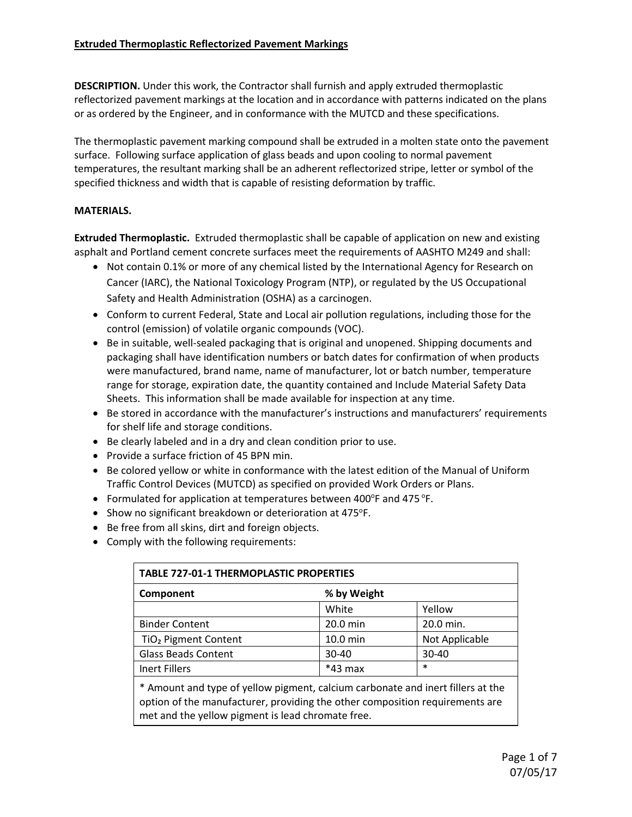**DESCRIPTION.** Under this work, the Contractor shall furnish and apply extruded thermoplastic reflectorized pavement markings at the location and in accordance with patterns indicated on the plans or as ordered by the Engineer, and in conformance with the MUTCD and these specifications.

The thermoplastic pavement marking compound shall be extruded in a molten state onto the pavement surface. Following surface application of glass beads and upon cooling to normal pavement temperatures, the resultant marking shall be an adherent reflectorized stripe, letter or symbol of the specified thickness and width that is capable of resisting deformation by traffic.

### **MATERIALS.**

**Extruded Thermoplastic.** Extruded thermoplastic shall be capable of application on new and existing asphalt and Portland cement concrete surfaces meet the requirements of AASHTO M249 and shall:

- Not contain 0.1% or more of any chemical listed by the International Agency for Research on Cancer (IARC), the National Toxicology Program (NTP), or regulated by the US Occupational Safety and Health Administration (OSHA) as a carcinogen.
- Conform to current Federal, State and Local air pollution regulations, including those for the control (emission) of volatile organic compounds (VOC).
- Be in suitable, well-sealed packaging that is original and unopened. Shipping documents and packaging shall have identification numbers or batch dates for confirmation of when products were manufactured, brand name, name of manufacturer, lot or batch number, temperature range for storage, expiration date, the quantity contained and Include Material Safety Data Sheets. This information shall be made available for inspection at any time.
- **Be stored in accordance with the manufacturer's instructions and manufacturers' requirements** for shelf life and storage conditions.
- Be clearly labeled and in a dry and clean condition prior to use.
- Provide a surface friction of 45 BPN min.
- **Be colored yellow or white in conformance with the latest edition of the Manual of Uniform** Traffic Control Devices (MUTCD) as specified on provided Work Orders or Plans.
- Formulated for application at temperatures between 400°F and 475 °F.
- Show no significant breakdown or deterioration at 475°F.
- Be free from all skins, dirt and foreign objects.
- Comply with the following requirements:

| <b>TABLE 727-01-1 THERMOPLASTIC PROPERTIES</b> |             |                |  |  |  |
|------------------------------------------------|-------------|----------------|--|--|--|
| Component                                      | % by Weight |                |  |  |  |
|                                                | White       | Yellow         |  |  |  |
| <b>Binder Content</b>                          | 20.0 min    | 20.0 min.      |  |  |  |
| TiO <sub>2</sub> Pigment Content               | 10.0 min    | Not Applicable |  |  |  |
| <b>Glass Beads Content</b>                     | $30 - 40$   | 30-40          |  |  |  |
| Inert Fillers                                  | $*43$ max   | $\ast$         |  |  |  |
|                                                |             |                |  |  |  |

\* Amount and type of yellow pigment, calcium carbonate and inert fillers at the option of the manufacturer, providing the other composition requirements are met and the yellow pigment is lead chromate free.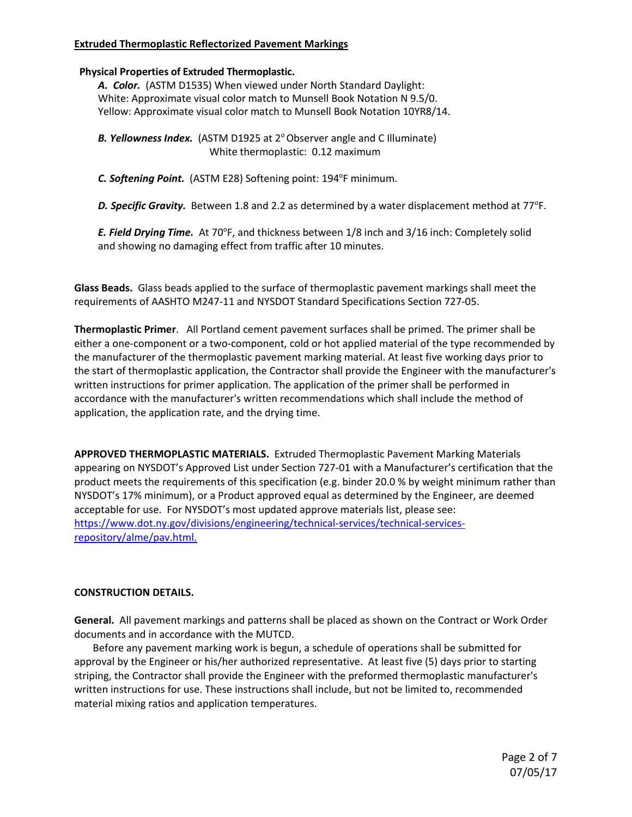#### **Physical Properties of Extruded Thermoplastic.**

*A. Color.* (ASTM D1535) When viewed under North Standard Daylight: White: Approximate visual color match to Munsell Book Notation N 9.5/0. Yellow: Approximate visual color match to Munsell Book Notation 10YR8/14.

**B. Yellowness Index.** (ASTM D1925 at 2<sup>°</sup> Observer angle and C Illuminate) White thermoplastic: 0.12 maximum

C. Softening Point. (ASTM E28) Softening point: 194°F minimum.

**D. Specific Gravity.** Between 1.8 and 2.2 as determined by a water displacement method at 77<sup>o</sup>F.

E. Field Drying Time. At 70<sup>o</sup>F, and thickness between 1/8 inch and 3/16 inch: Completely solid and showing no damaging effect from traffic after 10 minutes.

**Glass Beads.** Glass beads applied to the surface of thermoplastic pavement markings shall meet the requirements of AASHTO M247‐11 and NYSDOT Standard Specifications Section 727‐05.

**Thermoplastic Primer**. All Portland cement pavement surfaces shall be primed. The primer shall be either a one-component or a two-component, cold or hot applied material of the type recommended by the manufacturer of the thermoplastic pavement marking material. At least five working days prior to the start of thermoplastic application, the Contractor shall provide the Engineer with the manufacturer's written instructions for primer application. The application of the primer shall be performed in accordance with the manufacturer's written recommendations which shall include the method of application, the application rate, and the drying time.

**APPROVED THERMOPLASTIC MATERIALS.** Extruded Thermoplastic Pavement Marking Materials appearing on NYSDOT's Approved List under Section 727‐01 with a Manufacturer's certification that the product meets the requirements of this specification (e.g. binder 20.0 % by weight minimum rather than NYSDOT's 17% minimum), or a Product approved equal as determined by the Engineer, are deemed acceptable for use. For NYSDOT's most updated approve materials list, please see: https://www.dot.ny.gov/divisions/engineering/technical‐services/technical‐services‐ repository/alme/pav.html.

#### **CONSTRUCTION DETAILS.**

**General.** All pavement markings and patterns shall be placed as shown on the Contract or Work Order documents and in accordance with the MUTCD.

Before any pavement marking work is begun, a schedule of operations shall be submitted for approval by the Engineer or his/her authorized representative. At least five (5) days prior to starting striping, the Contractor shall provide the Engineer with the preformed thermoplastic manufacturer's written instructions for use. These instructions shall include, but not be limited to, recommended material mixing ratios and application temperatures.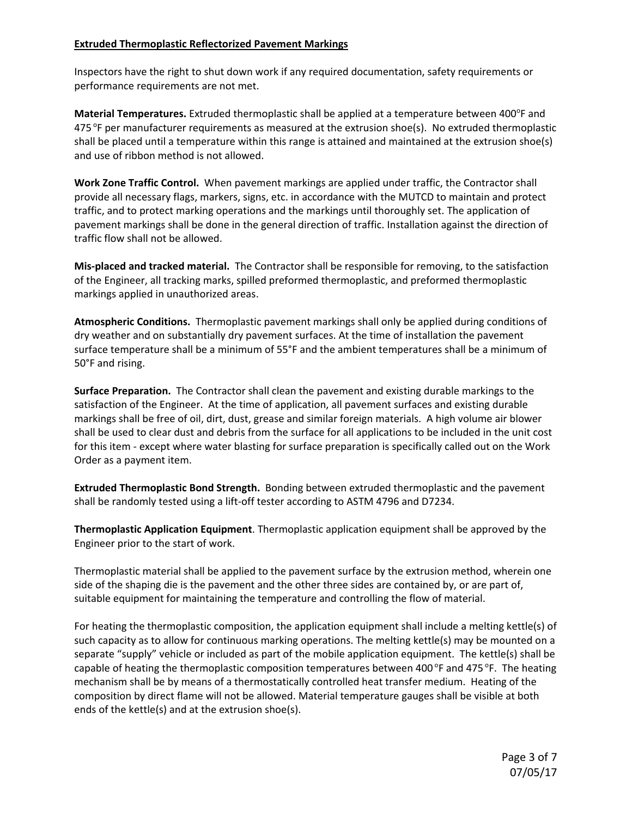Inspectors have the right to shut down work if any required documentation, safety requirements or performance requirements are not met.

Material Temperatures. Extruded thermoplastic shall be applied at a temperature between 400°F and 475 °F per manufacturer requirements as measured at the extrusion shoe(s). No extruded thermoplastic shall be placed until a temperature within this range is attained and maintained at the extrusion shoe(s) and use of ribbon method is not allowed.

**Work Zone Traffic Control.** When pavement markings are applied under traffic, the Contractor shall provide all necessary flags, markers, signs, etc. in accordance with the MUTCD to maintain and protect traffic, and to protect marking operations and the markings until thoroughly set. The application of pavement markings shall be done in the general direction of traffic. Installation against the direction of traffic flow shall not be allowed.

**Mis‐placed and tracked material.** The Contractor shall be responsible for removing, to the satisfaction of the Engineer, all tracking marks, spilled preformed thermoplastic, and preformed thermoplastic markings applied in unauthorized areas.

**Atmospheric Conditions.** Thermoplastic pavement markings shall only be applied during conditions of dry weather and on substantially dry pavement surfaces. At the time of installation the pavement surface temperature shall be a minimum of 55°F and the ambient temperatures shall be a minimum of 50°F and rising.

**Surface Preparation.** The Contractor shall clean the pavement and existing durable markings to the satisfaction of the Engineer. At the time of application, all pavement surfaces and existing durable markings shall be free of oil, dirt, dust, grease and similar foreign materials. A high volume air blower shall be used to clear dust and debris from the surface for all applications to be included in the unit cost for this item ‐ except where water blasting for surface preparation is specifically called out on the Work Order as a payment item.

**Extruded Thermoplastic Bond Strength.** Bonding between extruded thermoplastic and the pavement shall be randomly tested using a lift‐off tester according to ASTM 4796 and D7234.

**Thermoplastic Application Equipment**. Thermoplastic application equipment shall be approved by the Engineer prior to the start of work.

Thermoplastic material shall be applied to the pavement surface by the extrusion method, wherein one side of the shaping die is the pavement and the other three sides are contained by, or are part of, suitable equipment for maintaining the temperature and controlling the flow of material.

For heating the thermoplastic composition, the application equipment shall include a melting kettle(s) of such capacity as to allow for continuous marking operations. The melting kettle(s) may be mounted on a separate "supply" vehicle or included as part of the mobile application equipment. The kettle(s) shall be capable of heating the thermoplastic composition temperatures between 400 °F and 475 °F. The heating mechanism shall be by means of a thermostatically controlled heat transfer medium. Heating of the composition by direct flame will not be allowed. Material temperature gauges shall be visible at both ends of the kettle(s) and at the extrusion shoe(s).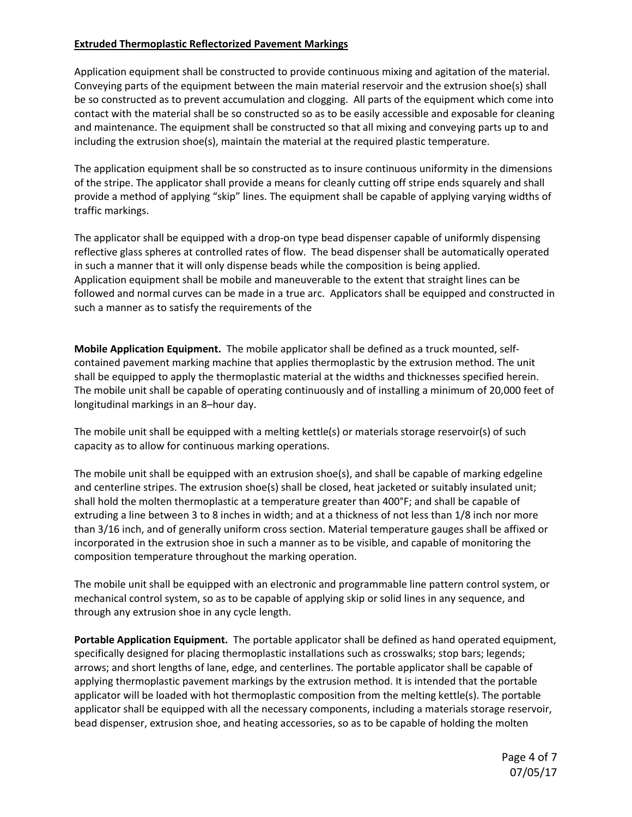Application equipment shall be constructed to provide continuous mixing and agitation of the material. Conveying parts of the equipment between the main material reservoir and the extrusion shoe(s) shall be so constructed as to prevent accumulation and clogging. All parts of the equipment which come into contact with the material shall be so constructed so as to be easily accessible and exposable for cleaning and maintenance. The equipment shall be constructed so that all mixing and conveying parts up to and including the extrusion shoe(s), maintain the material at the required plastic temperature.

The application equipment shall be so constructed as to insure continuous uniformity in the dimensions of the stripe. The applicator shall provide a means for cleanly cutting off stripe ends squarely and shall provide a method of applying "skip" lines. The equipment shall be capable of applying varying widths of traffic markings.

The applicator shall be equipped with a drop-on type bead dispenser capable of uniformly dispensing reflective glass spheres at controlled rates of flow. The bead dispenser shall be automatically operated in such a manner that it will only dispense beads while the composition is being applied. Application equipment shall be mobile and maneuverable to the extent that straight lines can be followed and normal curves can be made in a true arc. Applicators shall be equipped and constructed in such a manner as to satisfy the requirements of the

**Mobile Application Equipment.** The mobile applicator shall be defined as a truck mounted, self‐ contained pavement marking machine that applies thermoplastic by the extrusion method. The unit shall be equipped to apply the thermoplastic material at the widths and thicknesses specified herein. The mobile unit shall be capable of operating continuously and of installing a minimum of 20,000 feet of longitudinal markings in an 8–hour day.

The mobile unit shall be equipped with a melting kettle(s) or materials storage reservoir(s) of such capacity as to allow for continuous marking operations.

The mobile unit shall be equipped with an extrusion shoe(s), and shall be capable of marking edgeline and centerline stripes. The extrusion shoe(s) shall be closed, heat jacketed or suitably insulated unit; shall hold the molten thermoplastic at a temperature greater than 400°F; and shall be capable of extruding a line between 3 to 8 inches in width; and at a thickness of not less than 1/8 inch nor more than 3/16 inch, and of generally uniform cross section. Material temperature gauges shall be affixed or incorporated in the extrusion shoe in such a manner as to be visible, and capable of monitoring the composition temperature throughout the marking operation.

The mobile unit shall be equipped with an electronic and programmable line pattern control system, or mechanical control system, so as to be capable of applying skip or solid lines in any sequence, and through any extrusion shoe in any cycle length.

**Portable Application Equipment.** The portable applicator shall be defined as hand operated equipment, specifically designed for placing thermoplastic installations such as crosswalks; stop bars; legends; arrows; and short lengths of lane, edge, and centerlines. The portable applicator shall be capable of applying thermoplastic pavement markings by the extrusion method. It is intended that the portable applicator will be loaded with hot thermoplastic composition from the melting kettle(s). The portable applicator shall be equipped with all the necessary components, including a materials storage reservoir, bead dispenser, extrusion shoe, and heating accessories, so as to be capable of holding the molten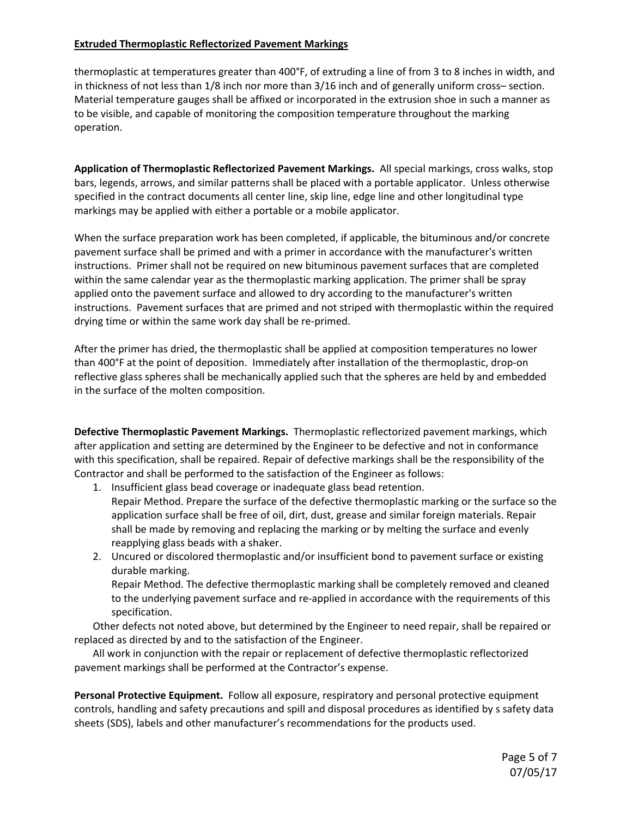thermoplastic at temperatures greater than 400°F, of extruding a line of from 3 to 8 inches in width, and in thickness of not less than 1/8 inch nor more than 3/16 inch and of generally uniform cross– section. Material temperature gauges shall be affixed or incorporated in the extrusion shoe in such a manner as to be visible, and capable of monitoring the composition temperature throughout the marking operation.

**Application of Thermoplastic Reflectorized Pavement Markings.** All special markings, cross walks, stop bars, legends, arrows, and similar patterns shall be placed with a portable applicator. Unless otherwise specified in the contract documents all center line, skip line, edge line and other longitudinal type markings may be applied with either a portable or a mobile applicator.

When the surface preparation work has been completed, if applicable, the bituminous and/or concrete pavement surface shall be primed and with a primer in accordance with the manufacturer's written instructions. Primer shall not be required on new bituminous pavement surfaces that are completed within the same calendar year as the thermoplastic marking application. The primer shall be spray applied onto the pavement surface and allowed to dry according to the manufacturer's written instructions. Pavement surfaces that are primed and not striped with thermoplastic within the required drying time or within the same work day shall be re‐primed.

After the primer has dried, the thermoplastic shall be applied at composition temperatures no lower than 400°F at the point of deposition. Immediately after installation of the thermoplastic, drop‐on reflective glass spheres shall be mechanically applied such that the spheres are held by and embedded in the surface of the molten composition.

**Defective Thermoplastic Pavement Markings.** Thermoplastic reflectorized pavement markings, which after application and setting are determined by the Engineer to be defective and not in conformance with this specification, shall be repaired. Repair of defective markings shall be the responsibility of the Contractor and shall be performed to the satisfaction of the Engineer as follows:

- 1. Insufficient glass bead coverage or inadequate glass bead retention. Repair Method. Prepare the surface of the defective thermoplastic marking or the surface so the application surface shall be free of oil, dirt, dust, grease and similar foreign materials. Repair shall be made by removing and replacing the marking or by melting the surface and evenly reapplying glass beads with a shaker.
- 2. Uncured or discolored thermoplastic and/or insufficient bond to pavement surface or existing durable marking.

Repair Method. The defective thermoplastic marking shall be completely removed and cleaned to the underlying pavement surface and re‐applied in accordance with the requirements of this specification.

Other defects not noted above, but determined by the Engineer to need repair, shall be repaired or replaced as directed by and to the satisfaction of the Engineer.

All work in conjunction with the repair or replacement of defective thermoplastic reflectorized pavement markings shall be performed at the Contractor's expense.

**Personal Protective Equipment.** Follow all exposure, respiratory and personal protective equipment controls, handling and safety precautions and spill and disposal procedures as identified by s safety data sheets (SDS), labels and other manufacturer's recommendations for the products used.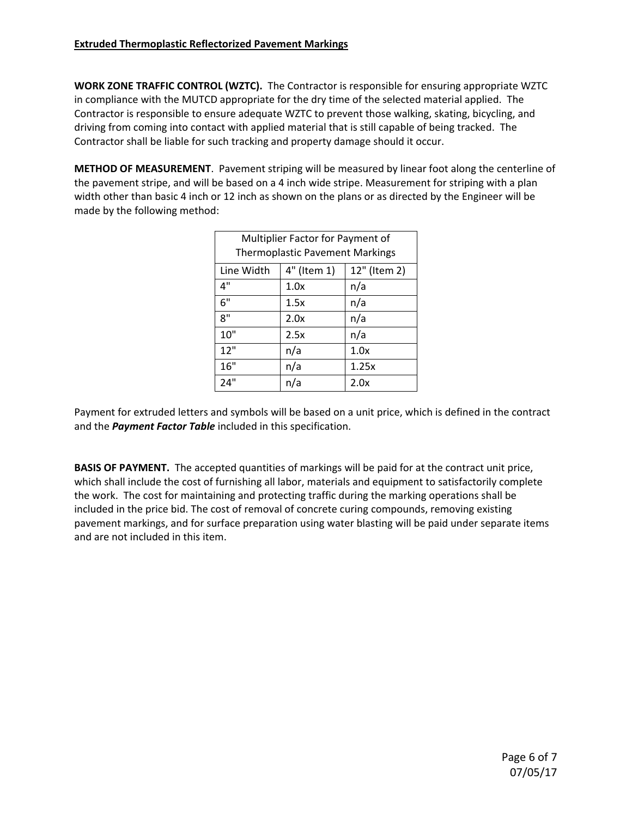**WORK ZONE TRAFFIC CONTROL (WZTC).** The Contractor is responsible for ensuring appropriate WZTC in compliance with the MUTCD appropriate for the dry time of the selected material applied. The Contractor is responsible to ensure adequate WZTC to prevent those walking, skating, bicycling, and driving from coming into contact with applied material that is still capable of being tracked. The Contractor shall be liable for such tracking and property damage should it occur.

**METHOD OF MEASUREMENT**. Pavement striping will be measured by linear foot along the centerline of the pavement stripe, and will be based on a 4 inch wide stripe. Measurement for striping with a plan width other than basic 4 inch or 12 inch as shown on the plans or as directed by the Engineer will be made by the following method:

| Multiplier Factor for Payment of<br><b>Thermoplastic Pavement Markings</b> |             |              |  |  |  |
|----------------------------------------------------------------------------|-------------|--------------|--|--|--|
| Line Width                                                                 | 4" (Item 1) | 12" (Item 2) |  |  |  |
| 4"                                                                         | 1.0x        | n/a          |  |  |  |
| 6"                                                                         | 1.5x        | n/a          |  |  |  |
| 8"                                                                         | 2.0x        | n/a          |  |  |  |
| 10"                                                                        | 2.5x        | n/a          |  |  |  |
| 12"                                                                        | n/a         | 1.0x         |  |  |  |
| 16"                                                                        | n/a         | 1.25x        |  |  |  |
| 24"                                                                        | n/a         | 2.0x         |  |  |  |

Payment for extruded letters and symbols will be based on a unit price, which is defined in the contract and the *Payment Factor Table* included in this specification.

**BASIS OF PAYMENT.** The accepted quantities of markings will be paid for at the contract unit price, which shall include the cost of furnishing all labor, materials and equipment to satisfactorily complete the work. The cost for maintaining and protecting traffic during the marking operations shall be included in the price bid. The cost of removal of concrete curing compounds, removing existing pavement markings, and for surface preparation using water blasting will be paid under separate items and are not included in this item.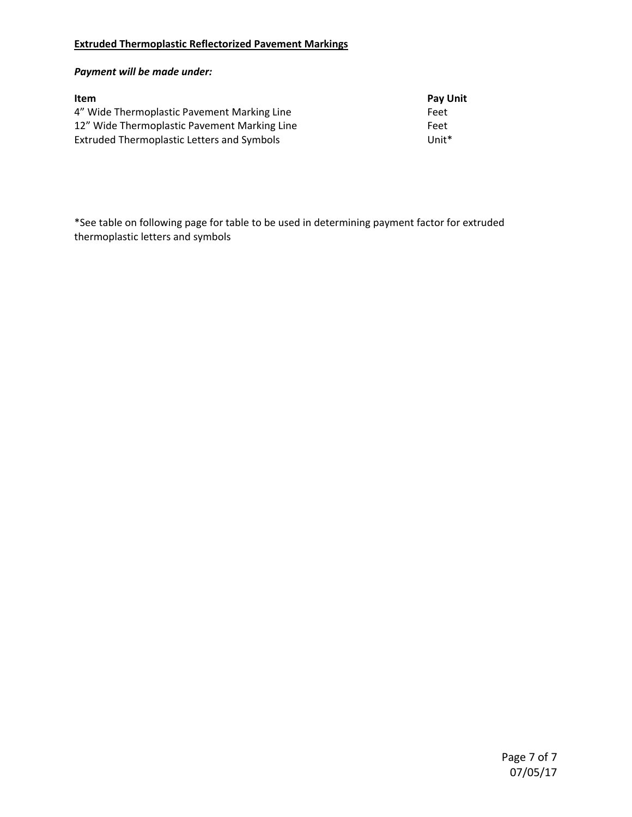# *Payment will be made under:*

| <b>Item</b>                                  | <b>Pay Unit</b> |
|----------------------------------------------|-----------------|
| 4" Wide Thermoplastic Pavement Marking Line  | Feet            |
| 12" Wide Thermoplastic Pavement Marking Line | Feet            |
| Extruded Thermoplastic Letters and Symbols   | $Unit*$         |

\*See table on following page for table to be used in determining payment factor for extruded thermoplastic letters and symbols